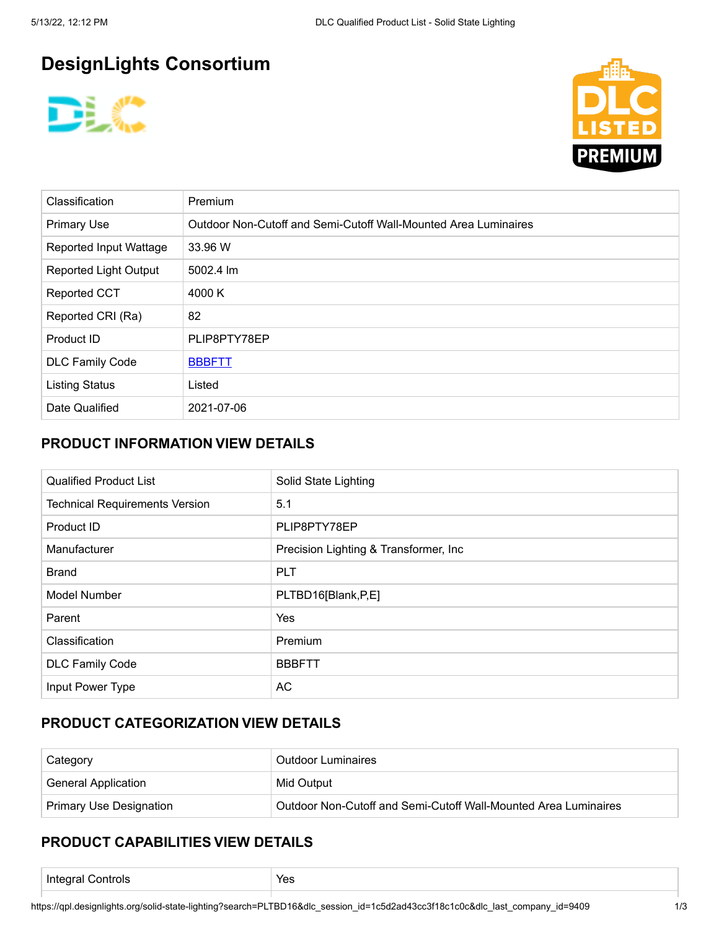# **DesignLights Consortium**





| <b>Classification</b>         | <b>Premium</b>                                                  |  |
|-------------------------------|-----------------------------------------------------------------|--|
| <b>Primary Use</b>            | Outdoor Non-Cutoff and Semi-Cutoff Wall-Mounted Area Luminaires |  |
| <b>Reported Input Wattage</b> | 33.96 W                                                         |  |
| Reported Light Output         | 5002.4 lm                                                       |  |
| <b>Reported CCT</b>           | 4000 K                                                          |  |
| Reported CRI (Ra)             | 82                                                              |  |
| Product ID                    | PLIP8PTY78EP                                                    |  |
| <b>DLC Family Code</b>        | <b>BBBFTT</b>                                                   |  |
| <b>Listing Status</b>         | Listed                                                          |  |
| Date Qualified                | 2021-07-06                                                      |  |

## **PRODUCT INFORMATION VIEW DETAILS**

| <b>Qualified Product List</b>         | Solid State Lighting                   |  |  |
|---------------------------------------|----------------------------------------|--|--|
| <b>Technical Requirements Version</b> | 5.1                                    |  |  |
| Product ID                            | PLIP8PTY78EP                           |  |  |
| Manufacturer                          | Precision Lighting & Transformer, Inc. |  |  |
| <b>Brand</b>                          | <b>PLT</b>                             |  |  |
| Model Number                          | PLTBD16[Blank,P,E]                     |  |  |
| Parent                                | Yes                                    |  |  |
| Classification                        | Premium                                |  |  |
| <b>DLC Family Code</b>                | <b>BBBFTT</b>                          |  |  |
| Input Power Type                      | AC                                     |  |  |

### **PRODUCT CATEGORIZATION VIEW DETAILS**

| Category                       | <b>Outdoor Luminaires</b>                                       |  |
|--------------------------------|-----------------------------------------------------------------|--|
| <b>General Application</b>     | Mid Output                                                      |  |
| <b>Primary Use Designation</b> | Outdoor Non-Cutoff and Semi-Cutoff Wall-Mounted Area Luminaires |  |

### **PRODUCT CAPABILITIES VIEW DETAILS**

| Inı<br>∴ontrols<br>ы<br>.<br>$\sim$<br>. . | ، ص<br>53<br>$  -$ |
|--------------------------------------------|--------------------|
|                                            |                    |

https://qpl.designlights.org/solid-state-lighting?search=PLTBD16&dlc\_session\_id=1c5d2ad43cc3f18c1c0c&dlc\_last\_company\_id=9409 1/3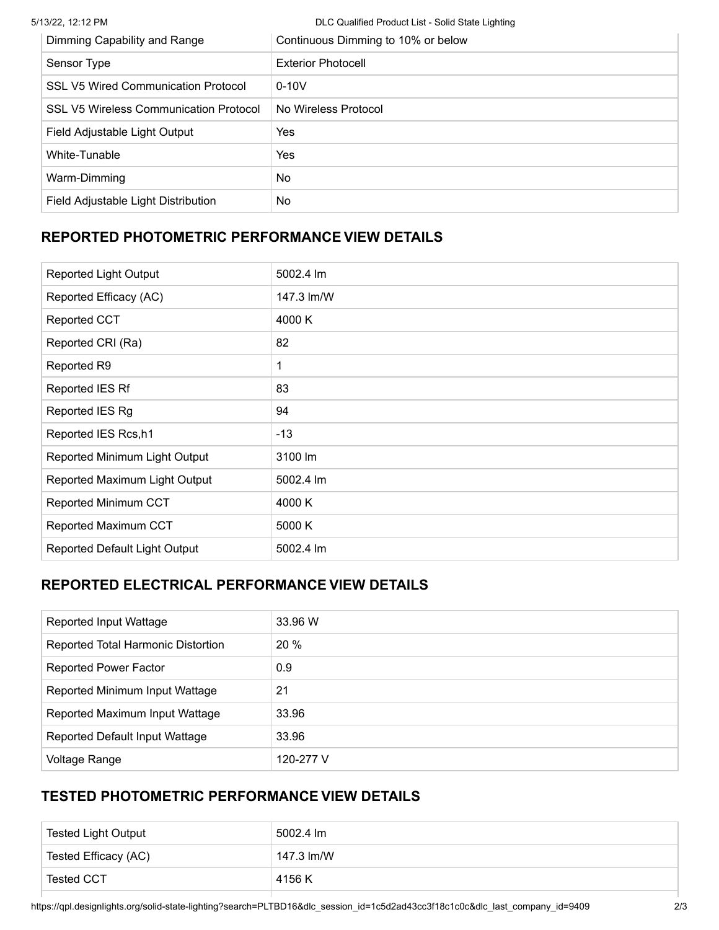5/13/22, 12:12 PM DLC Qualified Product List - Solid State Lighting

| Dimming Capability and Range                  | Continuous Dimming to 10% or below |  |
|-----------------------------------------------|------------------------------------|--|
| Sensor Type                                   | <b>Exterior Photocell</b>          |  |
| <b>SSL V5 Wired Communication Protocol</b>    | $0 - 10V$                          |  |
| <b>SSL V5 Wireless Communication Protocol</b> | No Wireless Protocol               |  |
| Field Adjustable Light Output                 | Yes                                |  |
| White-Tunable                                 | Yes                                |  |
| Warm-Dimming                                  | No.                                |  |
| Field Adjustable Light Distribution           | No                                 |  |
|                                               |                                    |  |

## **REPORTED PHOTOMETRIC PERFORMANCE VIEW DETAILS**

| <b>Reported Light Output</b>  | 5002.4 lm  |
|-------------------------------|------------|
| Reported Efficacy (AC)        | 147.3 lm/W |
| <b>Reported CCT</b>           | 4000 K     |
| Reported CRI (Ra)             | 82         |
| Reported R9                   | 1          |
| Reported IES Rf               | 83         |
| Reported IES Rg               | 94         |
| Reported IES Rcs, h1          | $-13$      |
| Reported Minimum Light Output | 3100 lm    |
| Reported Maximum Light Output | 5002.4 lm  |
| Reported Minimum CCT          | 4000 K     |
| Reported Maximum CCT          | 5000 K     |
| Reported Default Light Output | 5002.4 lm  |

### **REPORTED ELECTRICAL PERFORMANCE VIEW DETAILS**

| Reported Input Wattage             | 33.96 W   |
|------------------------------------|-----------|
| Reported Total Harmonic Distortion | 20 %      |
| <b>Reported Power Factor</b>       | 0.9       |
| Reported Minimum Input Wattage     | 21        |
| Reported Maximum Input Wattage     | 33.96     |
| Reported Default Input Wattage     | 33.96     |
| Voltage Range                      | 120-277 V |

# **TESTED PHOTOMETRIC PERFORMANCE VIEW DETAILS**

| <b>Tested Light Output</b> | 5002.4 lm  |
|----------------------------|------------|
| Tested Efficacy (AC)       | 147.3 lm/W |
| Tested CCT                 | 4156 K     |

https://qpl.designlights.org/solid-state-lighting?search=PLTBD16&dlc\_session\_id=1c5d2ad43cc3f18c1c0c&dlc\_last\_company\_id=9409 2/3